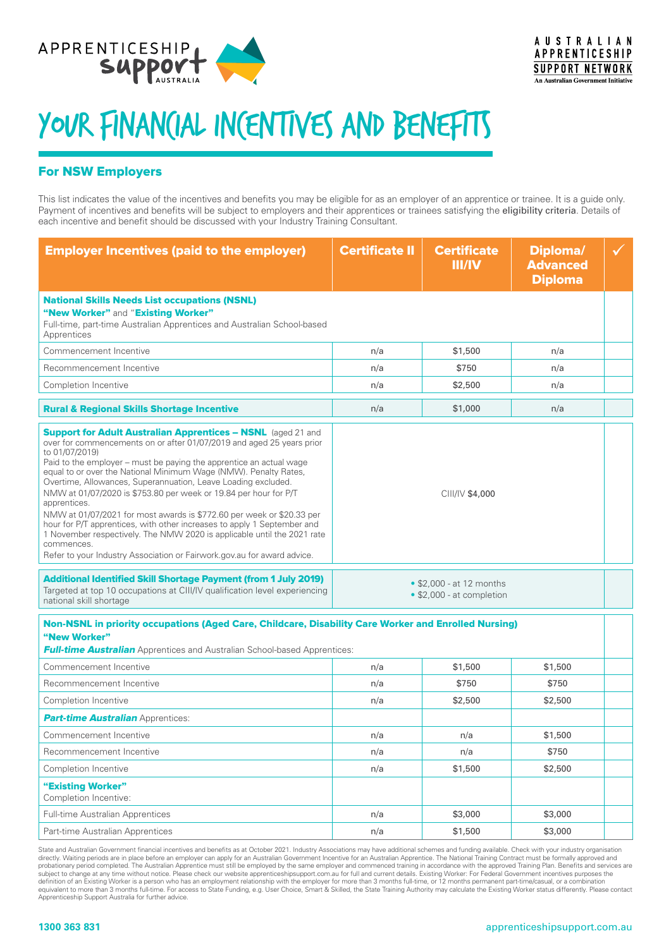

## YOUR FINAN(IAL INCENTIVES AND BENEFITS

## For NSW Employers

This list indicates the value of the incentives and benefits you may be eligible for as an employer of an apprentice or trainee. It is a guide only. Payment of incentives and benefits will be subject to employers and their apprentices or trainees satisfying the eligibility criteria. Details of each incentive and benefit should be discussed with your Industry Training Consultant.

| <b>Employer Incentives (paid to the employer)</b>                                                                                                                                                                                                                                                                                                                                                                                                                                                                                                                                                                                                                                                                                                                                      | <b>Certificate II</b>                                 | <b>Certificate</b><br>III/IV | Diploma/<br><b>Advanced</b><br><b>Diploma</b> |  |  |
|----------------------------------------------------------------------------------------------------------------------------------------------------------------------------------------------------------------------------------------------------------------------------------------------------------------------------------------------------------------------------------------------------------------------------------------------------------------------------------------------------------------------------------------------------------------------------------------------------------------------------------------------------------------------------------------------------------------------------------------------------------------------------------------|-------------------------------------------------------|------------------------------|-----------------------------------------------|--|--|
| <b>National Skills Needs List occupations (NSNL)</b><br>"New Worker" and "Existing Worker"<br>Full-time, part-time Australian Apprentices and Australian School-based<br>Apprentices                                                                                                                                                                                                                                                                                                                                                                                                                                                                                                                                                                                                   |                                                       |                              |                                               |  |  |
| Commencement Incentive                                                                                                                                                                                                                                                                                                                                                                                                                                                                                                                                                                                                                                                                                                                                                                 | n/a                                                   | \$1,500                      | n/a                                           |  |  |
| Recommencement Incentive                                                                                                                                                                                                                                                                                                                                                                                                                                                                                                                                                                                                                                                                                                                                                               | n/a                                                   | \$750                        | n/a                                           |  |  |
| Completion Incentive                                                                                                                                                                                                                                                                                                                                                                                                                                                                                                                                                                                                                                                                                                                                                                   | n/a                                                   | \$2,500                      | n/a                                           |  |  |
| <b>Rural &amp; Regional Skills Shortage Incentive</b>                                                                                                                                                                                                                                                                                                                                                                                                                                                                                                                                                                                                                                                                                                                                  | n/a                                                   | \$1,000                      | n/a                                           |  |  |
| <b>Support for Adult Australian Apprentices - NSNL</b> (aged 21 and<br>over for commencements on or after 01/07/2019 and aged 25 years prior<br>to 01/07/2019)<br>Paid to the employer - must be paying the apprentice an actual wage<br>equal to or over the National Minimum Wage (NMW). Penalty Rates,<br>Overtime, Allowances, Superannuation, Leave Loading excluded.<br>NMW at 01/07/2020 is \$753.80 per week or 19.84 per hour for P/T<br>apprentices.<br>NMW at 01/07/2021 for most awards is \$772.60 per week or \$20.33 per<br>hour for P/T apprentices, with other increases to apply 1 September and<br>1 November respectively. The NMW 2020 is applicable until the 2021 rate<br>commences.<br>Refer to your Industry Association or Fairwork.gov.au for award advice. | CIII/IV \$4,000                                       |                              |                                               |  |  |
| <b>Additional Identified Skill Shortage Payment (from 1 July 2019)</b><br>Targeted at top 10 occupations at CIII/IV qualification level experiencing<br>national skill shortage                                                                                                                                                                                                                                                                                                                                                                                                                                                                                                                                                                                                        | • \$2,000 - at 12 months<br>• \$2,000 - at completion |                              |                                               |  |  |
| Non-NSNL in priority occupations (Aged Care, Childcare, Disability Care Worker and Enrolled Nursing)<br>"New Worker"<br><b>Full-time Australian</b> Apprentices and Australian School-based Apprentices:                                                                                                                                                                                                                                                                                                                                                                                                                                                                                                                                                                               |                                                       |                              |                                               |  |  |
| Commencement Incentive                                                                                                                                                                                                                                                                                                                                                                                                                                                                                                                                                                                                                                                                                                                                                                 | n/a                                                   | \$1,500                      | \$1,500                                       |  |  |
| Recommencement Incentive                                                                                                                                                                                                                                                                                                                                                                                                                                                                                                                                                                                                                                                                                                                                                               | n/a                                                   | \$750                        | \$750                                         |  |  |
| Completion Incentive                                                                                                                                                                                                                                                                                                                                                                                                                                                                                                                                                                                                                                                                                                                                                                   | n/a                                                   | \$2,500                      | \$2,500                                       |  |  |
| <b>Part-time Australian Apprentices:</b>                                                                                                                                                                                                                                                                                                                                                                                                                                                                                                                                                                                                                                                                                                                                               |                                                       |                              |                                               |  |  |
| Commencement Incentive                                                                                                                                                                                                                                                                                                                                                                                                                                                                                                                                                                                                                                                                                                                                                                 | n/a                                                   | n/a                          | \$1,500                                       |  |  |
| Recommencement Incentive                                                                                                                                                                                                                                                                                                                                                                                                                                                                                                                                                                                                                                                                                                                                                               | n/a                                                   | n/a                          | \$750                                         |  |  |
| Completion Incentive                                                                                                                                                                                                                                                                                                                                                                                                                                                                                                                                                                                                                                                                                                                                                                   | n/a                                                   | \$1,500                      | \$2,500                                       |  |  |
| "Existing Worker"<br>Completion Incentive:                                                                                                                                                                                                                                                                                                                                                                                                                                                                                                                                                                                                                                                                                                                                             |                                                       |                              |                                               |  |  |
| Full-time Australian Apprentices                                                                                                                                                                                                                                                                                                                                                                                                                                                                                                                                                                                                                                                                                                                                                       | n/a                                                   | \$3,000                      | \$3,000                                       |  |  |
| Part-time Australian Apprentices                                                                                                                                                                                                                                                                                                                                                                                                                                                                                                                                                                                                                                                                                                                                                       | n/a                                                   | \$1,500                      | \$3,000                                       |  |  |

State and Australian Government financial incentives and benefits as at October 2021. Industry Associations may have additional schemes and funding available. Check with your industry organisation directly. Waiting periods are in place before an employer can apply for an Australian Government Incentive for an Australian Apprentice. The National Training Contract must be formally approved and<br>probationary period comp subject to change at any time without notice. Please check our website apprenticeshipsupport.com.au for full and current details. Existing Worker: For Federal Government incentives purposes the<br>definition of an Existing Wo equivalent to more than 3 months full-time. For access to State Funding, e.g. User Choice, Smart & Skilled, the State Training Authority may calculate the Existing Worker status differently. Please contact Apprenticeship Support Australia for further advice.